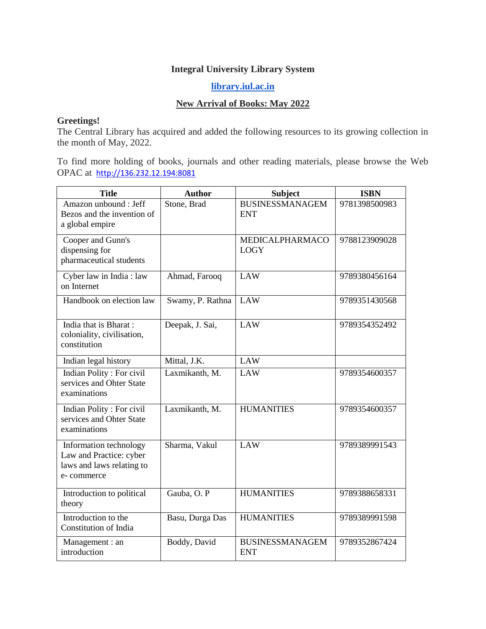## **Integral University Library System**

## **[library.iul.ac.in](http://library.iul.ac.in/)**

## **New Arrival of Books: May 2022**

## **Greetings!**

The Central Library has acquired and added the following resources to its growing collection in the month of May, 2022.

To find more holding of books, journals and other reading materials, please browse the Web OPAC at [http://136.232.12.194:8081](http://136.232.12.194:8081/)

| <b>Title</b>                                                                                 | <b>Author</b>    | <b>Subject</b>                       | <b>ISBN</b>   |
|----------------------------------------------------------------------------------------------|------------------|--------------------------------------|---------------|
| Amazon unbound : Jeff<br>Bezos and the invention of<br>a global empire                       | Stone, Brad      | <b>BUSINESSMANAGEM</b><br><b>ENT</b> | 9781398500983 |
| Cooper and Gunn's<br>dispensing for<br>pharmaceutical students                               |                  | MEDICALPHARMACO<br><b>LOGY</b>       | 9788123909028 |
| Cyber law in India: law<br>on Internet                                                       | Ahmad, Farooq    | <b>LAW</b>                           | 9789380456164 |
| Handbook on election law                                                                     | Swamy, P. Rathna | LAW                                  | 9789351430568 |
| India that is Bharat:<br>coloniality, civilisation,<br>constitution                          | Deepak, J. Sai,  | <b>LAW</b>                           | 9789354352492 |
| Indian legal history                                                                         | Mittal, J.K.     | <b>LAW</b>                           |               |
| Indian Polity: For civil<br>services and Ohter State<br>examinations                         | Laxmikanth, M.   | <b>LAW</b>                           | 9789354600357 |
| Indian Polity: For civil<br>services and Ohter State<br>examinations                         | Laxmikanth, M.   | <b>HUMANITIES</b>                    | 9789354600357 |
| Information technology<br>Law and Practice: cyber<br>laws and laws relating to<br>e-commerce | Sharma, Vakul    | LAW                                  | 9789389991543 |
| Introduction to political<br>theory                                                          | Gauba, O. P      | <b>HUMANITIES</b>                    | 9789388658331 |
| Introduction to the<br><b>Constitution of India</b>                                          | Basu, Durga Das  | <b>HUMANITIES</b>                    | 9789389991598 |
| Management : an<br>introduction                                                              | Boddy, David     | <b>BUSINESSMANAGEM</b><br><b>ENT</b> | 9789352867424 |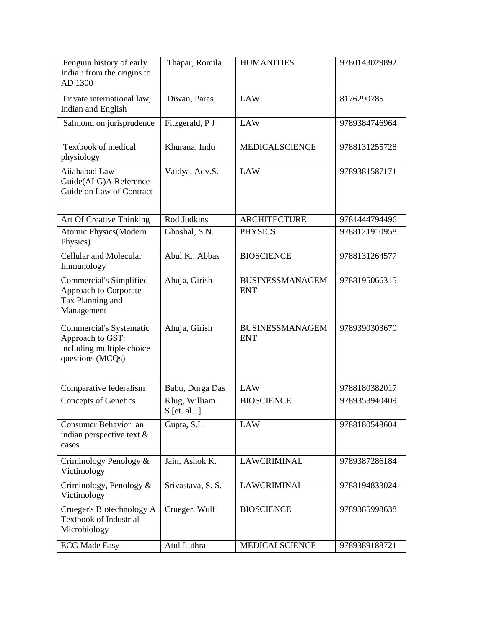| Penguin history of early<br>India: from the origins to<br>AD 1300                            | Thapar, Romila              | <b>HUMANITIES</b>                    | 9780143029892 |
|----------------------------------------------------------------------------------------------|-----------------------------|--------------------------------------|---------------|
| Private international law,<br>Indian and English                                             | Diwan, Paras                | <b>LAW</b>                           | 8176290785    |
| Salmond on jurisprudence                                                                     | Fitzgerald, P J             | LAW                                  | 9789384746964 |
| Textbook of medical<br>physiology                                                            | Khurana, Indu               | <b>MEDICALSCIENCE</b>                | 9788131255728 |
| Aiiahabad Law<br>Guide(ALG)A Reference<br>Guide on Law of Contract                           | Vaidya, Adv.S.              | <b>LAW</b>                           | 9789381587171 |
| <b>Art Of Creative Thinking</b>                                                              | Rod Judkins                 | <b>ARCHITECTURE</b>                  | 9781444794496 |
| Atomic Physics(Modern<br>Physics)                                                            | Ghoshal, S.N.               | <b>PHYSICS</b>                       | 9788121910958 |
| Cellular and Molecular<br>Immunology                                                         | Abul K., Abbas              | <b>BIOSCIENCE</b>                    | 9788131264577 |
| Commercial's Simplified<br>Approach to Corporate<br>Tax Planning and<br>Management           | Ahuja, Girish               | <b>BUSINESSMANAGEM</b><br><b>ENT</b> | 9788195066315 |
| Commercial's Systematic<br>Approach to GST:<br>including multiple choice<br>questions (MCQs) | Ahuja, Girish               | <b>BUSINESSMANAGEM</b><br><b>ENT</b> | 9789390303670 |
| Comparative federalism                                                                       | Babu, Durga Das             | <b>LAW</b>                           | 9788180382017 |
| <b>Concepts of Genetics</b>                                                                  | Klug, William<br>S.[et. al] | <b>BIOSCIENCE</b>                    | 9789353940409 |
| Consumer Behavior: an<br>indian perspective text &<br>cases                                  | Gupta, S.L.                 | LAW                                  | 9788180548604 |
| Criminology Penology &<br>Victimology                                                        | Jain, Ashok K.              | <b>LAWCRIMINAL</b>                   | 9789387286184 |
| Criminology, Penology $\&$<br>Victimology                                                    | Srivastava, S. S.           | LAWCRIMINAL                          | 9788194833024 |
| Crueger's Biotechnology A<br><b>Textbook of Industrial</b><br>Microbiology                   | Crueger, Wulf               | <b>BIOSCIENCE</b>                    | 9789385998638 |
| <b>ECG Made Easy</b>                                                                         | Atul Luthra                 | MEDICALSCIENCE                       | 9789389188721 |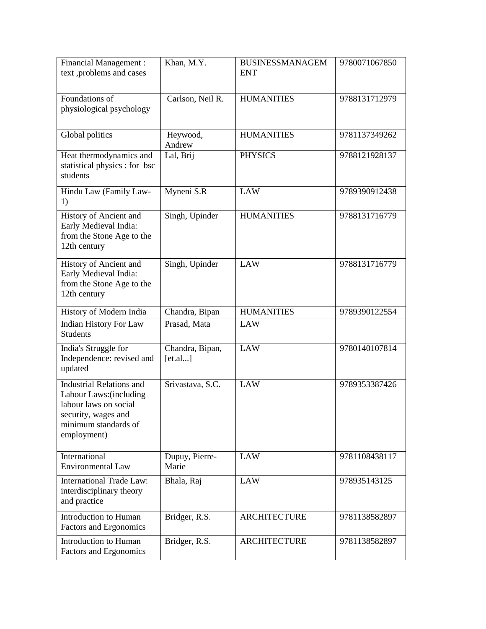| <b>Financial Management:</b><br>text ,problems and cases                                                                                          | Khan, M.Y.                 | <b>BUSINESSMANAGEM</b><br><b>ENT</b> | 9780071067850 |
|---------------------------------------------------------------------------------------------------------------------------------------------------|----------------------------|--------------------------------------|---------------|
| Foundations of<br>physiological psychology                                                                                                        | Carlson, Neil R.           | <b>HUMANITIES</b>                    | 9788131712979 |
| Global politics                                                                                                                                   | Heywood,<br>Andrew         | <b>HUMANITIES</b>                    | 9781137349262 |
| Heat thermodynamics and<br>statistical physics : for bsc<br>students                                                                              | Lal, Brij                  | <b>PHYSICS</b>                       | 9788121928137 |
| Hindu Law (Family Law-<br>1)                                                                                                                      | Myneni S.R                 | <b>LAW</b>                           | 9789390912438 |
| History of Ancient and<br>Early Medieval India:<br>from the Stone Age to the<br>12th century                                                      | Singh, Upinder             | <b>HUMANITIES</b>                    | 9788131716779 |
| History of Ancient and<br>Early Medieval India:<br>from the Stone Age to the<br>12th century                                                      | Singh, Upinder             | <b>LAW</b>                           | 9788131716779 |
| History of Modern India                                                                                                                           | Chandra, Bipan             | <b>HUMANITIES</b>                    | 9789390122554 |
| <b>Indian History For Law</b><br><b>Students</b>                                                                                                  | Prasad, Mata               | <b>LAW</b>                           |               |
| India's Struggle for<br>Independence: revised and<br>updated                                                                                      | Chandra, Bipan,<br>[et.a]] | <b>LAW</b>                           | 9780140107814 |
| <b>Industrial Relations and</b><br>Labour Laws: (including<br>labour laws on social<br>security, wages and<br>minimum standards of<br>employment) | Srivastava, S.C.           | <b>LAW</b>                           | 9789353387426 |
| International<br><b>Environmental Law</b>                                                                                                         | Dupuy, Pierre-<br>Marie    | LAW                                  | 9781108438117 |
| <b>International Trade Law:</b><br>interdisciplinary theory<br>and practice                                                                       | Bhala, Raj                 | LAW                                  | 978935143125  |
| Introduction to Human<br>Factors and Ergonomics                                                                                                   | Bridger, R.S.              | <b>ARCHITECTURE</b>                  | 9781138582897 |
| Introduction to Human<br>Factors and Ergonomics                                                                                                   | Bridger, R.S.              | <b>ARCHITECTURE</b>                  | 9781138582897 |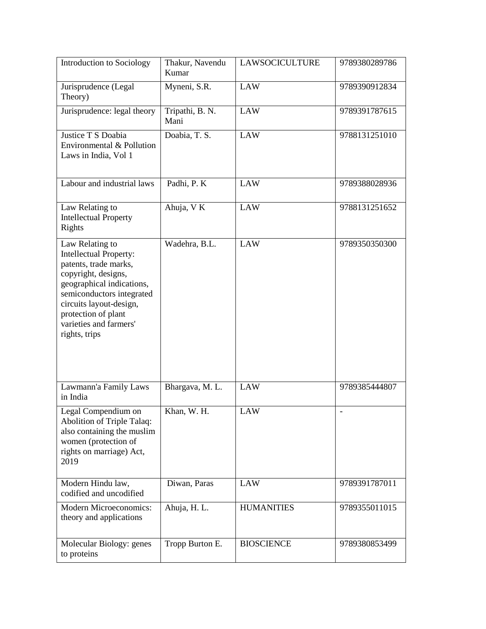| Introduction to Sociology                                                                                                                                                                                                                               | Thakur, Navendu<br>Kumar | <b>LAWSOCICULTURE</b> | 9789380289786 |
|---------------------------------------------------------------------------------------------------------------------------------------------------------------------------------------------------------------------------------------------------------|--------------------------|-----------------------|---------------|
| Jurisprudence (Legal<br>Theory)                                                                                                                                                                                                                         | Myneni, S.R.             | <b>LAW</b>            | 9789390912834 |
| Jurisprudence: legal theory                                                                                                                                                                                                                             | Tripathi, B. N.<br>Mani  | <b>LAW</b>            | 9789391787615 |
| Justice T S Doabia<br>Environmental & Pollution<br>Laws in India, Vol 1                                                                                                                                                                                 | Doabia, T. S.            | <b>LAW</b>            | 9788131251010 |
| Labour and industrial laws                                                                                                                                                                                                                              | Padhi, P. K              | <b>LAW</b>            | 9789388028936 |
| Law Relating to<br><b>Intellectual Property</b><br>Rights                                                                                                                                                                                               | Ahuja, VK                | <b>LAW</b>            | 9788131251652 |
| Law Relating to<br><b>Intellectual Property:</b><br>patents, trade marks,<br>copyright, designs,<br>geographical indications,<br>semiconductors integrated<br>circuits layout-design,<br>protection of plant<br>varieties and farmers'<br>rights, trips | Wadehra, B.L.            | <b>LAW</b>            | 9789350350300 |
| Lawmann'a Family Laws<br>in India                                                                                                                                                                                                                       | Bhargava, M. L.          | <b>LAW</b>            | 9789385444807 |
| Legal Compendium on<br>Abolition of Triple Talaq:<br>also containing the muslim<br>women (protection of<br>rights on marriage) Act,<br>2019                                                                                                             | Khan, W. H.              | LAW                   |               |
| Modern Hindu law,<br>codified and uncodified                                                                                                                                                                                                            | Diwan, Paras             | <b>LAW</b>            | 9789391787011 |
| <b>Modern Microeconomics:</b><br>theory and applications                                                                                                                                                                                                | Ahuja, H. L.             | <b>HUMANITIES</b>     | 9789355011015 |
| Molecular Biology: genes<br>to proteins                                                                                                                                                                                                                 | Tropp Burton E.          | <b>BIOSCIENCE</b>     | 9789380853499 |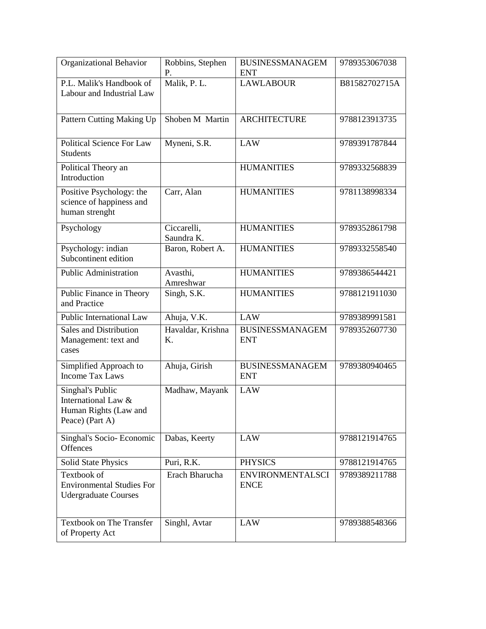| Organizational Behavior                                                             | Robbins, Stephen<br>Ρ.    | <b>BUSINESSMANAGEM</b><br><b>ENT</b>   | 9789353067038 |
|-------------------------------------------------------------------------------------|---------------------------|----------------------------------------|---------------|
| P.L. Malik's Handbook of<br>Labour and Industrial Law                               | Malik, P. L.              | <b>LAWLABOUR</b>                       | B81582702715A |
| Pattern Cutting Making Up                                                           | Shoben M Martin           | <b>ARCHITECTURE</b>                    | 9788123913735 |
| <b>Political Science For Law</b><br><b>Students</b>                                 | Myneni, S.R.              | LAW                                    | 9789391787844 |
| Political Theory an<br>Introduction                                                 |                           | <b>HUMANITIES</b>                      | 9789332568839 |
| Positive Psychology: the<br>science of happiness and<br>human strenght              | Carr, Alan                | <b>HUMANITIES</b>                      | 9781138998334 |
| Psychology                                                                          | Ciccarelli,<br>Saundra K. | <b>HUMANITIES</b>                      | 9789352861798 |
| Psychology: indian<br>Subcontinent edition                                          | Baron, Robert A.          | <b>HUMANITIES</b>                      | 9789332558540 |
| <b>Public Administration</b>                                                        | Avasthi,<br>Amreshwar     | <b>HUMANITIES</b>                      | 9789386544421 |
| Public Finance in Theory<br>and Practice                                            | Singh, S.K.               | <b>HUMANITIES</b>                      | 9788121911030 |
| Public International Law                                                            | Ahuja, V.K.               | <b>LAW</b>                             | 9789389991581 |
| <b>Sales and Distribution</b><br>Management: text and<br>cases                      | Havaldar, Krishna<br>Κ.   | <b>BUSINESSMANAGEM</b><br><b>ENT</b>   | 9789352607730 |
| Simplified Approach to<br><b>Income Tax Laws</b>                                    | Ahuja, Girish             | <b>BUSINESSMANAGEM</b><br><b>ENT</b>   | 9789380940465 |
| Singhal's Public<br>International Law &<br>Human Rights (Law and<br>Peace) (Part A) | Madhaw, Mayank            | <b>LAW</b>                             |               |
| Singhal's Socio-Economic<br>Offences                                                | Dabas, Keerty             | <b>LAW</b>                             | 9788121914765 |
| <b>Solid State Physics</b>                                                          | Puri, R.K.                | <b>PHYSICS</b>                         | 9788121914765 |
| Textbook of<br><b>Environmental Studies For</b><br><b>Udergraduate Courses</b>      | Erach Bharucha            | <b>ENVIRONMENTALSCI</b><br><b>ENCE</b> | 9789389211788 |
| Textbook on The Transfer<br>of Property Act                                         | Singhl, Avtar             | <b>LAW</b>                             | 9789388548366 |